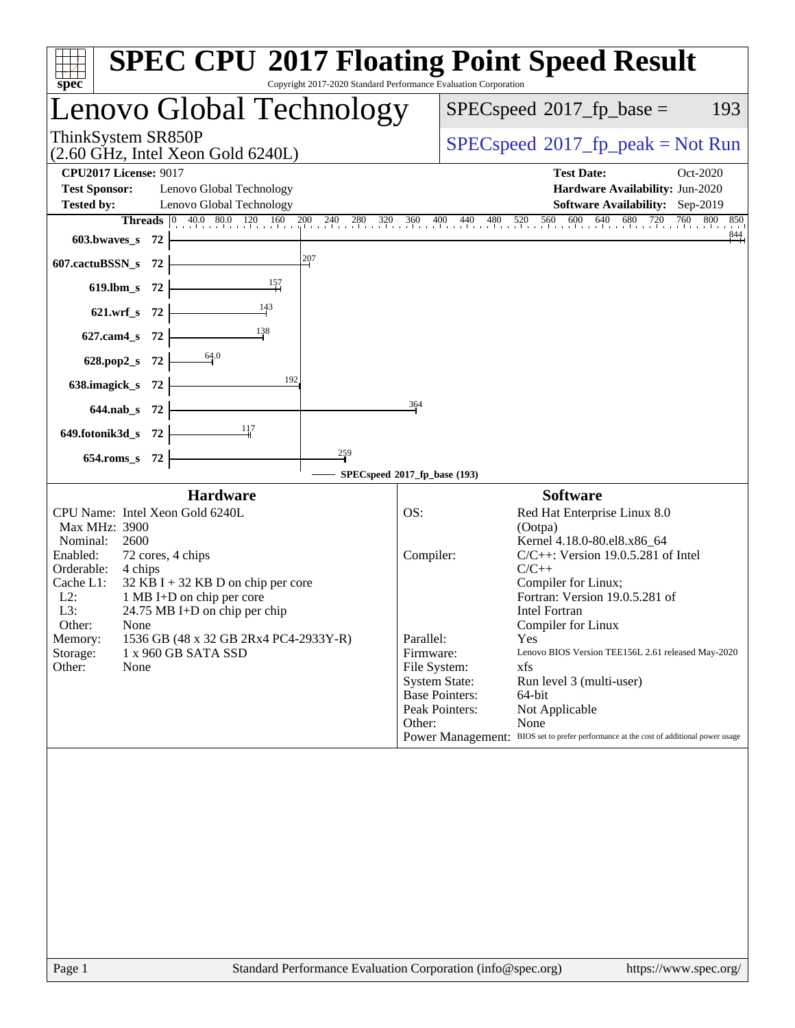| <b>SPEC CPU®2017 Floating Point Speed Result</b><br>Copyright 2017-2020 Standard Performance Evaluation Corporation<br>spec                                                                                                                                                                                                                                                                                                                 |                                                                                                                                                                                                                                                                                                                                                                                                                                                                                                                                                                                                              |
|---------------------------------------------------------------------------------------------------------------------------------------------------------------------------------------------------------------------------------------------------------------------------------------------------------------------------------------------------------------------------------------------------------------------------------------------|--------------------------------------------------------------------------------------------------------------------------------------------------------------------------------------------------------------------------------------------------------------------------------------------------------------------------------------------------------------------------------------------------------------------------------------------------------------------------------------------------------------------------------------------------------------------------------------------------------------|
| Lenovo Global Technology                                                                                                                                                                                                                                                                                                                                                                                                                    | $SPEC speed^{\circ}2017$ _fp_base =<br>193                                                                                                                                                                                                                                                                                                                                                                                                                                                                                                                                                                   |
| ThinkSystem SR850P<br>$(2.60 \text{ GHz}, \text{Intel Xeon Gold } 6240L)$                                                                                                                                                                                                                                                                                                                                                                   | $SPEC speed^{\circ}2017\_fp\_peak = Not Run$                                                                                                                                                                                                                                                                                                                                                                                                                                                                                                                                                                 |
| <b>CPU2017 License: 9017</b><br><b>Test Sponsor:</b><br>Lenovo Global Technology<br>Lenovo Global Technology<br><b>Tested by:</b>                                                                                                                                                                                                                                                                                                           | <b>Test Date:</b><br>Oct-2020<br>Hardware Availability: Jun-2020<br>Software Availability: Sep-2019<br><b>Threads</b> $\begin{bmatrix} 0 & 40.0 & 80.0 & 120 & 160 & 200 & 240 & 280 & 320 & 360 & 400 & 440 & 480 & 520 & 560 & 600 & 640 & 680 & 720 & 760 & 800 \end{bmatrix}$<br>850<br>844                                                                                                                                                                                                                                                                                                              |
| 603.bwaves_s $72$ $\vdash$<br>207<br>607.cactuBSSN_s 72                                                                                                                                                                                                                                                                                                                                                                                     |                                                                                                                                                                                                                                                                                                                                                                                                                                                                                                                                                                                                              |
| 619.lbm_s 72 $\overline{\qquad \qquad }$ 157                                                                                                                                                                                                                                                                                                                                                                                                |                                                                                                                                                                                                                                                                                                                                                                                                                                                                                                                                                                                                              |
| 621.wrf_s 72 $\frac{143}{ }$                                                                                                                                                                                                                                                                                                                                                                                                                |                                                                                                                                                                                                                                                                                                                                                                                                                                                                                                                                                                                                              |
| $\frac{138}{ }$<br>627.cam4_s $72$ $\vdash$                                                                                                                                                                                                                                                                                                                                                                                                 |                                                                                                                                                                                                                                                                                                                                                                                                                                                                                                                                                                                                              |
| 628.pop2_s 72 $\frac{64.0}{1}$                                                                                                                                                                                                                                                                                                                                                                                                              |                                                                                                                                                                                                                                                                                                                                                                                                                                                                                                                                                                                                              |
| 638.imagick_s $72$<br>364                                                                                                                                                                                                                                                                                                                                                                                                                   |                                                                                                                                                                                                                                                                                                                                                                                                                                                                                                                                                                                                              |
| $644.nab_s$ 72                                                                                                                                                                                                                                                                                                                                                                                                                              |                                                                                                                                                                                                                                                                                                                                                                                                                                                                                                                                                                                                              |
| 649.fotonik3d_s 72 $\frac{11}{11}$<br>259<br>$654$ .roms_s 72 $\vdash$                                                                                                                                                                                                                                                                                                                                                                      |                                                                                                                                                                                                                                                                                                                                                                                                                                                                                                                                                                                                              |
| SPECspeed®2017_fp_base (193)                                                                                                                                                                                                                                                                                                                                                                                                                |                                                                                                                                                                                                                                                                                                                                                                                                                                                                                                                                                                                                              |
| <b>Hardware</b><br>CPU Name: Intel Xeon Gold 6240L<br>OS:<br>Max MHz: 3900<br>Nominal:<br>2600<br>Enabled:<br>72 cores, 4 chips<br>Orderable:<br>4 chips<br>Cache L1:<br>$32$ KB I + 32 KB D on chip per core<br>1 MB I+D on chip per core<br>$L2$ :<br>L3:<br>$24.75 \text{ MB I+D}$ on chip per chip<br>Other:<br>None<br>1536 GB (48 x 32 GB 2Rx4 PC4-2933Y-R)<br>Memory:<br>Storage:<br>1 x 960 GB SATA SSD<br>Other:<br>None<br>Other: | <b>Software</b><br>Red Hat Enterprise Linux 8.0<br>(Ootpa)<br>Kernel 4.18.0-80.el8.x86_64<br>$C/C++$ : Version 19.0.5.281 of Intel<br>Compiler:<br>$C/C++$<br>Compiler for Linux;<br>Fortran: Version 19.0.5.281 of<br><b>Intel Fortran</b><br>Compiler for Linux<br>Parallel:<br>Yes<br>Firmware:<br>Lenovo BIOS Version TEE156L 2.61 released May-2020<br>File System:<br>xfs<br><b>System State:</b><br>Run level 3 (multi-user)<br><b>Base Pointers:</b><br>64-bit<br>Peak Pointers:<br>Not Applicable<br>None<br>Power Management: BIOS set to prefer performance at the cost of additional power usage |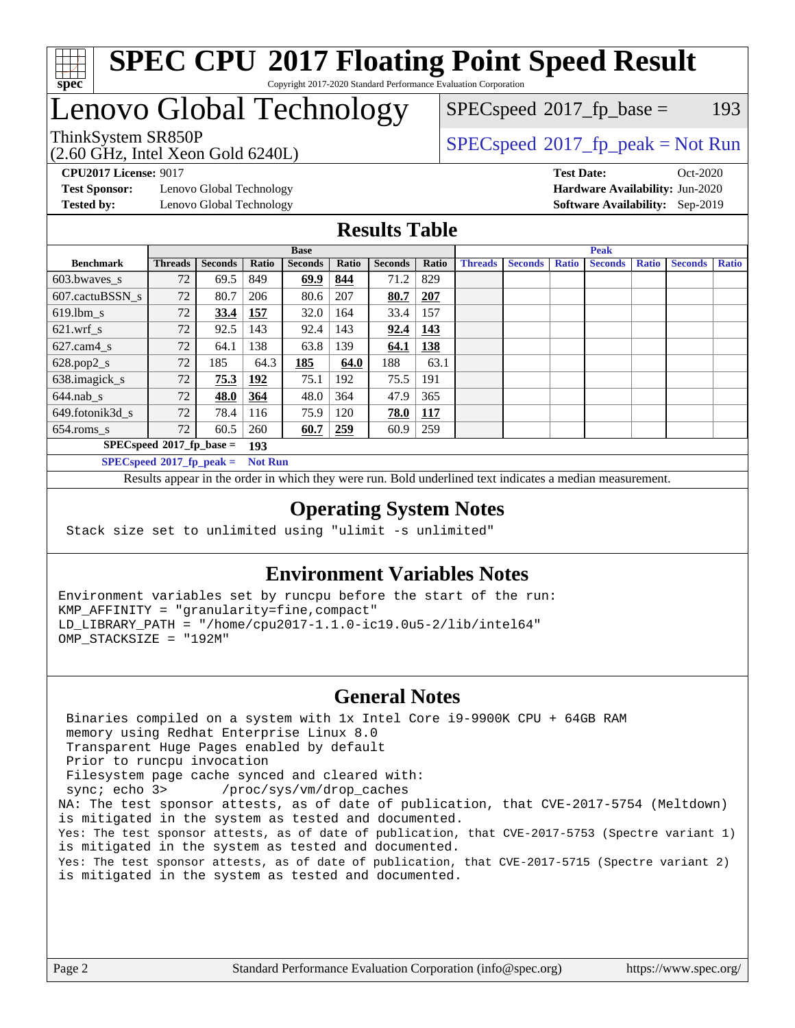

# **[SPEC CPU](http://www.spec.org/auto/cpu2017/Docs/result-fields.html#SPECCPU2017FloatingPointSpeedResult)[2017 Floating Point Speed Result](http://www.spec.org/auto/cpu2017/Docs/result-fields.html#SPECCPU2017FloatingPointSpeedResult)**

Copyright 2017-2020 Standard Performance Evaluation Corporation

### Lenovo Global Technology

(2.60 GHz, Intel Xeon Gold 6240L)

ThinkSystem SR850P<br>  $(2.60 \text{ GHz, Intel Yoon Gold } 6240 \text{ J})$  [SPECspeed](http://www.spec.org/auto/cpu2017/Docs/result-fields.html#SPECspeed2017fppeak)<sup>®</sup>[2017\\_fp\\_peak = N](http://www.spec.org/auto/cpu2017/Docs/result-fields.html#SPECspeed2017fppeak)ot Run  $SPECspeed^{\circledcirc}2017_fp\_base = 193$  $SPECspeed^{\circledcirc}2017_fp\_base = 193$ 

**[Test Sponsor:](http://www.spec.org/auto/cpu2017/Docs/result-fields.html#TestSponsor)** Lenovo Global Technology **[Hardware Availability:](http://www.spec.org/auto/cpu2017/Docs/result-fields.html#HardwareAvailability)** Jun-2020 **[Tested by:](http://www.spec.org/auto/cpu2017/Docs/result-fields.html#Testedby)** Lenovo Global Technology **[Software Availability:](http://www.spec.org/auto/cpu2017/Docs/result-fields.html#SoftwareAvailability)** Sep-2019

**[CPU2017 License:](http://www.spec.org/auto/cpu2017/Docs/result-fields.html#CPU2017License)** 9017 **[Test Date:](http://www.spec.org/auto/cpu2017/Docs/result-fields.html#TestDate)** Oct-2020

#### **[Results Table](http://www.spec.org/auto/cpu2017/Docs/result-fields.html#ResultsTable)**

|                             | <b>Base</b>                 |                |                |                |       | <b>Peak</b>    |            |                |                |              |                |              |                |              |
|-----------------------------|-----------------------------|----------------|----------------|----------------|-------|----------------|------------|----------------|----------------|--------------|----------------|--------------|----------------|--------------|
| <b>Benchmark</b>            | <b>Threads</b>              | <b>Seconds</b> | Ratio          | <b>Seconds</b> | Ratio | <b>Seconds</b> | Ratio      | <b>Threads</b> | <b>Seconds</b> | <b>Ratio</b> | <b>Seconds</b> | <b>Ratio</b> | <b>Seconds</b> | <b>Ratio</b> |
| 603.bwayes s                | 72                          | 69.5           | 849            | 69.9           | 844   | 71.2           | 829        |                |                |              |                |              |                |              |
| 607.cactuBSSN s             | 72                          | 80.7           | 206            | 80.6           | 207   | 80.7           | 207        |                |                |              |                |              |                |              |
| $619.1$ bm s                | 72                          | 33.4           | 157            | 32.0           | 164   | 33.4           | 157        |                |                |              |                |              |                |              |
| $621$ .wrf s                | 72                          | 92.5           | 143            | 92.4           | 143   | 92.4           | 143        |                |                |              |                |              |                |              |
| $627$ .cam $4 \text{ s}$    | 72                          | 64.1           | 138            | 63.8           | 139   | 64.1           | <u>138</u> |                |                |              |                |              |                |              |
| $628.pop2_s$                | 72                          | 185            | 64.3           | 185            | 64.0  | 188            | 63.1       |                |                |              |                |              |                |              |
| 638.imagick_s               | 72                          | 75.3           | 192            | 75.1           | 192   | 75.5           | 191        |                |                |              |                |              |                |              |
| $644$ .nab s                | 72                          | 48.0           | 364            | 48.0           | 364   | 47.9           | 365        |                |                |              |                |              |                |              |
| 649.fotonik3d s             | 72                          | 78.4           | 116            | 75.9           | 120   | 78.0           | <u>117</u> |                |                |              |                |              |                |              |
| $654$ .roms s               | 72                          | 60.5           | 260            | 60.7           | 259   | 60.9           | 259        |                |                |              |                |              |                |              |
|                             | $SPECspeed*2017_fp\_base =$ |                | 193            |                |       |                |            |                |                |              |                |              |                |              |
| $SPECspeed*2017_fp\_peak =$ |                             |                | <b>Not Run</b> |                |       |                |            |                |                |              |                |              |                |              |

Results appear in the [order in which they were run.](http://www.spec.org/auto/cpu2017/Docs/result-fields.html#RunOrder) Bold underlined text [indicates a median measurement](http://www.spec.org/auto/cpu2017/Docs/result-fields.html#Median).

#### **[Operating System Notes](http://www.spec.org/auto/cpu2017/Docs/result-fields.html#OperatingSystemNotes)**

Stack size set to unlimited using "ulimit -s unlimited"

#### **[Environment Variables Notes](http://www.spec.org/auto/cpu2017/Docs/result-fields.html#EnvironmentVariablesNotes)**

Environment variables set by runcpu before the start of the run: KMP\_AFFINITY = "granularity=fine,compact" LD\_LIBRARY\_PATH = "/home/cpu2017-1.1.0-ic19.0u5-2/lib/intel64" OMP\_STACKSIZE = "192M"

#### **[General Notes](http://www.spec.org/auto/cpu2017/Docs/result-fields.html#GeneralNotes)**

 Binaries compiled on a system with 1x Intel Core i9-9900K CPU + 64GB RAM memory using Redhat Enterprise Linux 8.0 Transparent Huge Pages enabled by default Prior to runcpu invocation Filesystem page cache synced and cleared with: sync; echo 3> /proc/sys/vm/drop\_caches NA: The test sponsor attests, as of date of publication, that CVE-2017-5754 (Meltdown) is mitigated in the system as tested and documented. Yes: The test sponsor attests, as of date of publication, that CVE-2017-5753 (Spectre variant 1) is mitigated in the system as tested and documented. Yes: The test sponsor attests, as of date of publication, that CVE-2017-5715 (Spectre variant 2) is mitigated in the system as tested and documented.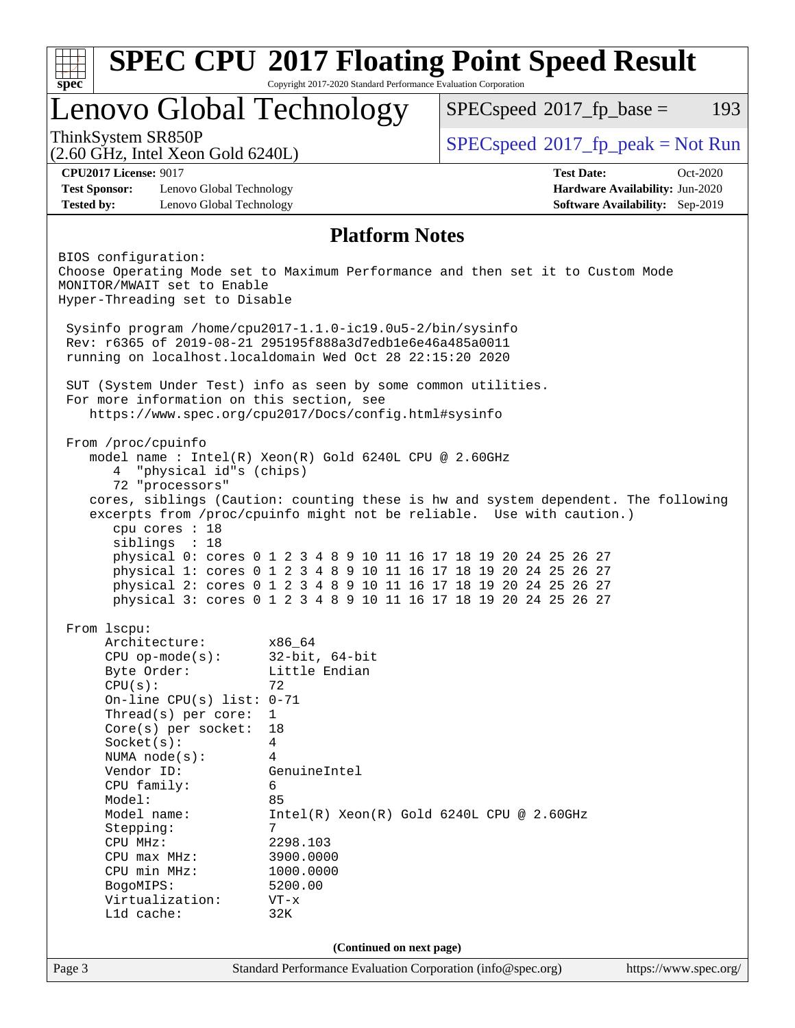| Lenovo Global Technology<br>$SPEC speed^{\circ}2017$ _fp_base =<br>$SPEC speed^{\circ}2017\_fp\_peak = Not Run$<br><b>CPU2017 License: 9017</b><br><b>Test Date:</b><br>Oct-2020<br><b>Test Sponsor:</b><br>Lenovo Global Technology<br>Hardware Availability: Jun-2020<br>Software Availability: Sep-2019<br><b>Tested by:</b><br>Lenovo Global Technology<br><b>Platform Notes</b><br>Sysinfo program /home/cpu2017-1.1.0-ic19.0u5-2/bin/sysinfo<br>Rev: r6365 of 2019-08-21 295195f888a3d7edble6e46a485a0011<br>running on localhost.localdomain Wed Oct 28 22:15:20 2020<br>SUT (System Under Test) info as seen by some common utilities.<br>For more information on this section, see<br>https://www.spec.org/cpu2017/Docs/config.html#sysinfo<br>From /proc/cpuinfo<br>model name : Intel(R) Xeon(R) Gold 6240L CPU @ 2.60GHz<br>"physical id"s (chips)<br>4<br>72 "processors"<br>cores, siblings (Caution: counting these is hw and system dependent. The following<br>excerpts from /proc/cpuinfo might not be reliable. Use with caution.)<br>cpu cores : 18<br>siblings : 18<br>physical 0: cores 0 1 2 3 4 8 9 10 11 16 17 18 19 20 24 25 26 27<br>physical 1: cores 0 1 2 3 4 8 9 10 11 16 17 18 19 20 24 25 26 27<br>physical 2: cores 0 1 2 3 4 8 9 10 11 16 17 18 19 20 24 25 26 27<br>physical 3: cores 0 1 2 3 4 8 9 10 11 16 17 18 19 20 24 25 26 27<br>From 1scpu:<br>Architecture:<br>x86_64<br>$CPU$ op-mode( $s$ ):<br>$32$ -bit, $64$ -bit<br>Little Endian<br>Byte Order:<br>CPU(s):<br>72<br>On-line CPU(s) list: $0-71$<br>Thread( $s$ ) per core:<br>$\mathbf{1}$<br>Core(s) per socket:<br>18<br>Socket(s):<br>4<br>NUMA $node(s):$<br>4<br>Vendor ID:<br>GenuineIntel<br>CPU family:<br>6<br>85<br>Model:<br>Model name:<br>$Intel(R) Xeon(R) Gold 6240L CPU @ 2.60GHz$<br>7<br>Stepping:<br>CPU MHz:<br>2298.103<br>$CPU$ max $MHz$ :<br>3900.0000<br>CPU min MHz:<br>1000.0000<br>5200.00<br>BogoMIPS:<br>Virtualization:<br>$VT - x$ | L1d cache:<br>32K<br>(Continued on next page)                                        | <b>SPEC CPU®2017 Floating Point Speed Result</b><br>Copyright 2017-2020 Standard Performance Evaluation Corporation<br>$spec^*$ |  |  |  |     |  |  |
|------------------------------------------------------------------------------------------------------------------------------------------------------------------------------------------------------------------------------------------------------------------------------------------------------------------------------------------------------------------------------------------------------------------------------------------------------------------------------------------------------------------------------------------------------------------------------------------------------------------------------------------------------------------------------------------------------------------------------------------------------------------------------------------------------------------------------------------------------------------------------------------------------------------------------------------------------------------------------------------------------------------------------------------------------------------------------------------------------------------------------------------------------------------------------------------------------------------------------------------------------------------------------------------------------------------------------------------------------------------------------------------------------------------------------------------------------------------------------------------------------------------------------------------------------------------------------------------------------------------------------------------------------------------------------------------------------------------------------------------------------------------------------------------------------------------------------------------------------------------------------------------------------------------------------------------------------------------------|--------------------------------------------------------------------------------------|---------------------------------------------------------------------------------------------------------------------------------|--|--|--|-----|--|--|
| (2.60 GHz, Intel Xeon Gold 6240L)                                                                                                                                                                                                                                                                                                                                                                                                                                                                                                                                                                                                                                                                                                                                                                                                                                                                                                                                                                                                                                                                                                                                                                                                                                                                                                                                                                                                                                                                                                                                                                                                                                                                                                                                                                                                                                                                                                                                      |                                                                                      |                                                                                                                                 |  |  |  | 193 |  |  |
| BIOS configuration:<br>Choose Operating Mode set to Maximum Performance and then set it to Custom Mode<br>MONITOR/MWAIT set to Enable<br>Hyper-Threading set to Disable                                                                                                                                                                                                                                                                                                                                                                                                                                                                                                                                                                                                                                                                                                                                                                                                                                                                                                                                                                                                                                                                                                                                                                                                                                                                                                                                                                                                                                                                                                                                                                                                                                                                                                                                                                                                |                                                                                      | ThinkSystem SR850P                                                                                                              |  |  |  |     |  |  |
|                                                                                                                                                                                                                                                                                                                                                                                                                                                                                                                                                                                                                                                                                                                                                                                                                                                                                                                                                                                                                                                                                                                                                                                                                                                                                                                                                                                                                                                                                                                                                                                                                                                                                                                                                                                                                                                                                                                                                                        |                                                                                      |                                                                                                                                 |  |  |  |     |  |  |
|                                                                                                                                                                                                                                                                                                                                                                                                                                                                                                                                                                                                                                                                                                                                                                                                                                                                                                                                                                                                                                                                                                                                                                                                                                                                                                                                                                                                                                                                                                                                                                                                                                                                                                                                                                                                                                                                                                                                                                        |                                                                                      |                                                                                                                                 |  |  |  |     |  |  |
|                                                                                                                                                                                                                                                                                                                                                                                                                                                                                                                                                                                                                                                                                                                                                                                                                                                                                                                                                                                                                                                                                                                                                                                                                                                                                                                                                                                                                                                                                                                                                                                                                                                                                                                                                                                                                                                                                                                                                                        |                                                                                      |                                                                                                                                 |  |  |  |     |  |  |
|                                                                                                                                                                                                                                                                                                                                                                                                                                                                                                                                                                                                                                                                                                                                                                                                                                                                                                                                                                                                                                                                                                                                                                                                                                                                                                                                                                                                                                                                                                                                                                                                                                                                                                                                                                                                                                                                                                                                                                        |                                                                                      |                                                                                                                                 |  |  |  |     |  |  |
|                                                                                                                                                                                                                                                                                                                                                                                                                                                                                                                                                                                                                                                                                                                                                                                                                                                                                                                                                                                                                                                                                                                                                                                                                                                                                                                                                                                                                                                                                                                                                                                                                                                                                                                                                                                                                                                                                                                                                                        |                                                                                      |                                                                                                                                 |  |  |  |     |  |  |
|                                                                                                                                                                                                                                                                                                                                                                                                                                                                                                                                                                                                                                                                                                                                                                                                                                                                                                                                                                                                                                                                                                                                                                                                                                                                                                                                                                                                                                                                                                                                                                                                                                                                                                                                                                                                                                                                                                                                                                        |                                                                                      |                                                                                                                                 |  |  |  |     |  |  |
|                                                                                                                                                                                                                                                                                                                                                                                                                                                                                                                                                                                                                                                                                                                                                                                                                                                                                                                                                                                                                                                                                                                                                                                                                                                                                                                                                                                                                                                                                                                                                                                                                                                                                                                                                                                                                                                                                                                                                                        | Standard Performance Evaluation Corporation (info@spec.org)<br>https://www.spec.org/ | Page 3                                                                                                                          |  |  |  |     |  |  |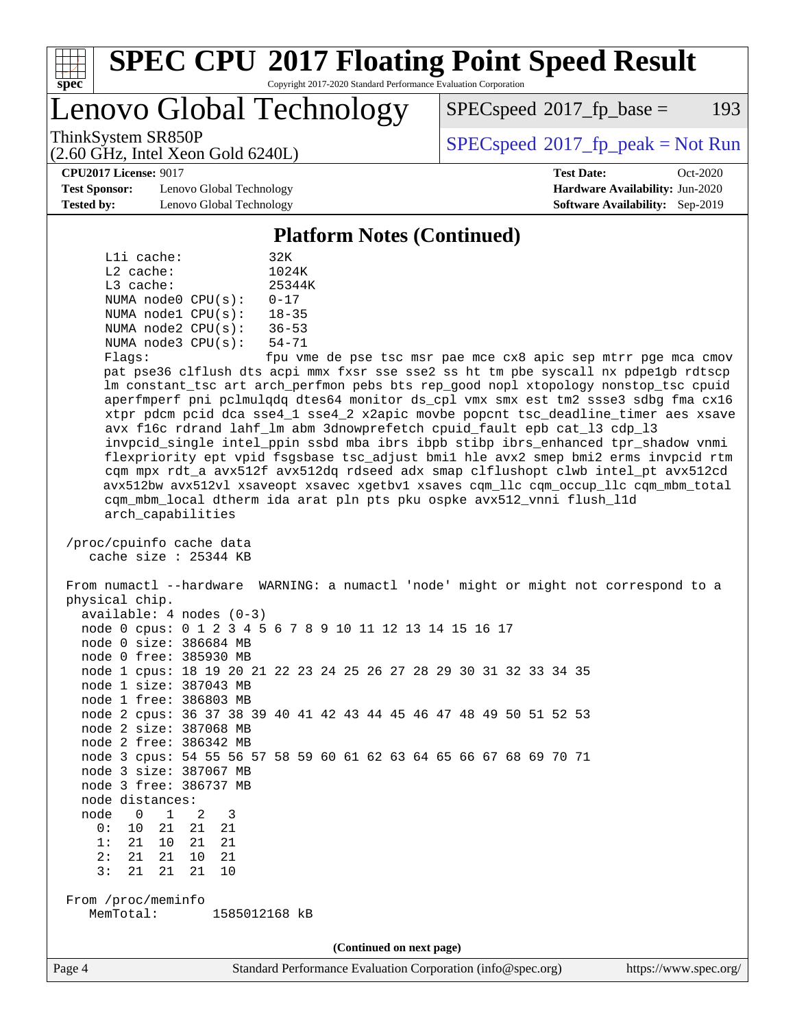

# **[SPEC CPU](http://www.spec.org/auto/cpu2017/Docs/result-fields.html#SPECCPU2017FloatingPointSpeedResult)[2017 Floating Point Speed Result](http://www.spec.org/auto/cpu2017/Docs/result-fields.html#SPECCPU2017FloatingPointSpeedResult)**

Copyright 2017-2020 Standard Performance Evaluation Corporation

Lenovo Global Technology

 $SPEC speed^{\circ}2017$  fp base = 193

(2.60 GHz, Intel Xeon Gold 6240L)

ThinkSystem SR850P<br>  $\begin{array}{c}\n\text{SPEC speed} \text{°2017\_fp\_peak} = \text{Not Run} \\
\text{SPEC speed} \text{°2017\_fp\_peak} = \text{Not Run} \\
\end{array}$ 

**[CPU2017 License:](http://www.spec.org/auto/cpu2017/Docs/result-fields.html#CPU2017License)** 9017 **[Test Date:](http://www.spec.org/auto/cpu2017/Docs/result-fields.html#TestDate)** Oct-2020

**[Test Sponsor:](http://www.spec.org/auto/cpu2017/Docs/result-fields.html#TestSponsor)** Lenovo Global Technology **[Hardware Availability:](http://www.spec.org/auto/cpu2017/Docs/result-fields.html#HardwareAvailability)** Jun-2020 **[Tested by:](http://www.spec.org/auto/cpu2017/Docs/result-fields.html#Testedby)** Lenovo Global Technology **[Software Availability:](http://www.spec.org/auto/cpu2017/Docs/result-fields.html#SoftwareAvailability)** Sep-2019

**[Platform Notes \(Continued\)](http://www.spec.org/auto/cpu2017/Docs/result-fields.html#PlatformNotes)**

|       | Lli cache:  |                         | 32K                        |
|-------|-------------|-------------------------|----------------------------|
|       | $L2$ cache: |                         | 1024K                      |
|       | $L3$ cache: |                         | 25344K                     |
|       |             | NUMA $node0$ $CPU(s)$ : | $0 - 17$                   |
|       |             | NUMA nodel CPU(s):      | $18 - 35$                  |
|       |             | NUMA $node2$ $CPU(s)$ : | $36 - 53$                  |
|       |             | NUMA $node3$ $CPU(s)$ : | $54 - 71$                  |
| F1200 |             |                         | $f_{\text{min}}$ $\tau$ me |

Flags: fpu vme de pse tsc msr pae mce cx8 apic sep mtrr pge mca cmov pat pse36 clflush dts acpi mmx fxsr sse sse2 ss ht tm pbe syscall nx pdpe1gb rdtscp lm constant\_tsc art arch\_perfmon pebs bts rep\_good nopl xtopology nonstop\_tsc cpuid aperfmperf pni pclmulqdq dtes64 monitor ds\_cpl vmx smx est tm2 ssse3 sdbg fma cx16 xtpr pdcm pcid dca sse4\_1 sse4\_2 x2apic movbe popcnt tsc\_deadline\_timer aes xsave avx f16c rdrand lahf\_lm abm 3dnowprefetch cpuid\_fault epb cat\_l3 cdp\_l3 invpcid\_single intel\_ppin ssbd mba ibrs ibpb stibp ibrs\_enhanced tpr\_shadow vnmi flexpriority ept vpid fsgsbase tsc\_adjust bmi1 hle avx2 smep bmi2 erms invpcid rtm cqm mpx rdt\_a avx512f avx512dq rdseed adx smap clflushopt clwb intel\_pt avx512cd avx512bw avx512vl xsaveopt xsavec xgetbv1 xsaves cqm\_llc cqm\_occup\_llc cqm\_mbm\_total cqm\_mbm\_local dtherm ida arat pln pts pku ospke avx512\_vnni flush\_l1d arch\_capabilities

 /proc/cpuinfo cache data cache size : 25344 KB

 From numactl --hardware WARNING: a numactl 'node' might or might not correspond to a physical chip. available: 4 nodes (0-3) node 0 cpus: 0 1 2 3 4 5 6 7 8 9 10 11 12 13 14 15 16 17

 node 0 size: 386684 MB node 0 free: 385930 MB

 node 1 cpus: 18 19 20 21 22 23 24 25 26 27 28 29 30 31 32 33 34 35 node 1 size: 387043 MB

 node 1 free: 386803 MB node 2 cpus: 36 37 38 39 40 41 42 43 44 45 46 47 48 49 50 51 52 53

 node 2 size: 387068 MB node 2 free: 386342 MB

 node 3 cpus: 54 55 56 57 58 59 60 61 62 63 64 65 66 67 68 69 70 71 node 3 size: 387067 MB

node 3 free: 386737 MB

node distances:

 node 0 1 2 3 0: 10 21 21 21

 1: 21 10 21 21 2: 21 21 10 21

3: 21 21 21 10

 From /proc/meminfo MemTotal: 1585012168 kB

**(Continued on next page)**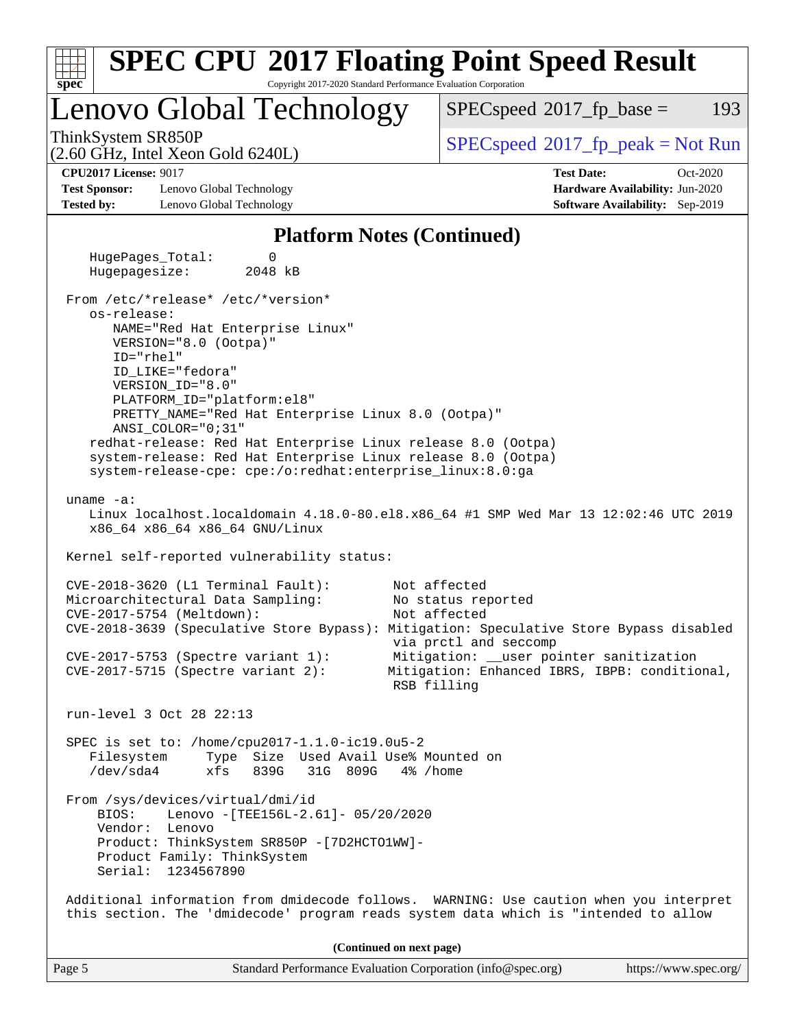| <b>SPEC CPU®2017 Floating Point Speed Result</b><br>Copyright 2017-2020 Standard Performance Evaluation Corporation<br>spec                                                                                                                                                                                                                 |                                                                                                                                                                                        |  |  |  |  |  |  |
|---------------------------------------------------------------------------------------------------------------------------------------------------------------------------------------------------------------------------------------------------------------------------------------------------------------------------------------------|----------------------------------------------------------------------------------------------------------------------------------------------------------------------------------------|--|--|--|--|--|--|
| Lenovo Global Technology<br>193<br>$SPEC speed^{\circ}2017\_fp\_base =$                                                                                                                                                                                                                                                                     |                                                                                                                                                                                        |  |  |  |  |  |  |
| ThinkSystem SR850P<br>$SPEC speed$ <sup>®</sup> 2017_fp_peak = Not Run<br>$(2.60 \text{ GHz}, \text{Intel Xeon Gold } 6240L)$                                                                                                                                                                                                               |                                                                                                                                                                                        |  |  |  |  |  |  |
| <b>CPU2017 License: 9017</b><br><b>Test Date:</b><br>Oct-2020<br><b>Test Sponsor:</b><br>Lenovo Global Technology<br>Hardware Availability: Jun-2020                                                                                                                                                                                        |                                                                                                                                                                                        |  |  |  |  |  |  |
| <b>Tested by:</b><br>Lenovo Global Technology                                                                                                                                                                                                                                                                                               | Software Availability: Sep-2019                                                                                                                                                        |  |  |  |  |  |  |
| <b>Platform Notes (Continued)</b>                                                                                                                                                                                                                                                                                                           |                                                                                                                                                                                        |  |  |  |  |  |  |
| HugePages_Total:<br>0<br>Hugepagesize:<br>2048 kB                                                                                                                                                                                                                                                                                           |                                                                                                                                                                                        |  |  |  |  |  |  |
| From /etc/*release* /etc/*version*<br>os-release:<br>NAME="Red Hat Enterprise Linux"<br>VERSION="8.0 (Ootpa)"<br>ID="rhel"<br>ID_LIKE="fedora"<br>VERSION_ID="8.0"<br>PLATFORM_ID="platform:el8"<br>PRETTY_NAME="Red Hat Enterprise Linux 8.0 (Ootpa)"<br>ANSI_COLOR="0;31"<br>redhat-release: Red Hat Enterprise Linux release 8.0 (Ootpa) |                                                                                                                                                                                        |  |  |  |  |  |  |
| system-release: Red Hat Enterprise Linux release 8.0 (Ootpa)<br>system-release-cpe: cpe:/o:redhat:enterprise_linux:8.0:ga<br>uname $-a$ :<br>x86_64 x86_64 x86_64 GNU/Linux                                                                                                                                                                 | Linux localhost.localdomain 4.18.0-80.el8.x86_64 #1 SMP Wed Mar 13 12:02:46 UTC 2019                                                                                                   |  |  |  |  |  |  |
| Kernel self-reported vulnerability status:                                                                                                                                                                                                                                                                                                  |                                                                                                                                                                                        |  |  |  |  |  |  |
| CVE-2018-3620 (L1 Terminal Fault):<br>Microarchitectural Data Sampling:<br>CVE-2017-5754 (Meltdown):<br>CVE-2018-3639 (Speculative Store Bypass): Mitigation: Speculative Store Bypass disabled<br>CVE-2017-5753 (Spectre variant 1):<br>$CVE-2017-5715$ (Spectre variant 2):                                                               | Not affected<br>No status reported<br>Not affected<br>via prctl and seccomp<br>Mitigation: __user pointer sanitization<br>Mitigation: Enhanced IBRS, IBPB: conditional,<br>RSB filling |  |  |  |  |  |  |
| run-level 3 Oct 28 22:13                                                                                                                                                                                                                                                                                                                    |                                                                                                                                                                                        |  |  |  |  |  |  |
| SPEC is set to: /home/cpu2017-1.1.0-ic19.0u5-2<br>Type Size Used Avail Use% Mounted on<br>Filesystem<br>$/\text{dev/sda4}$<br>xfs<br>839G<br>31G 809G                                                                                                                                                                                       | 4% /home                                                                                                                                                                               |  |  |  |  |  |  |
| From /sys/devices/virtual/dmi/id<br>BIOS:<br>Lenovo - [TEE156L-2.61]- 05/20/2020<br>Vendor: Lenovo<br>Product: ThinkSystem SR850P - [7D2HCTO1WW]-<br>Product Family: ThinkSystem<br>Serial: 1234567890                                                                                                                                      |                                                                                                                                                                                        |  |  |  |  |  |  |
| Additional information from dmidecode follows. WARNING: Use caution when you interpret<br>this section. The 'dmidecode' program reads system data which is "intended to allow                                                                                                                                                               |                                                                                                                                                                                        |  |  |  |  |  |  |
| (Continued on next page)                                                                                                                                                                                                                                                                                                                    |                                                                                                                                                                                        |  |  |  |  |  |  |
| Standard Performance Evaluation Corporation (info@spec.org)<br>Page 5                                                                                                                                                                                                                                                                       | https://www.spec.org/                                                                                                                                                                  |  |  |  |  |  |  |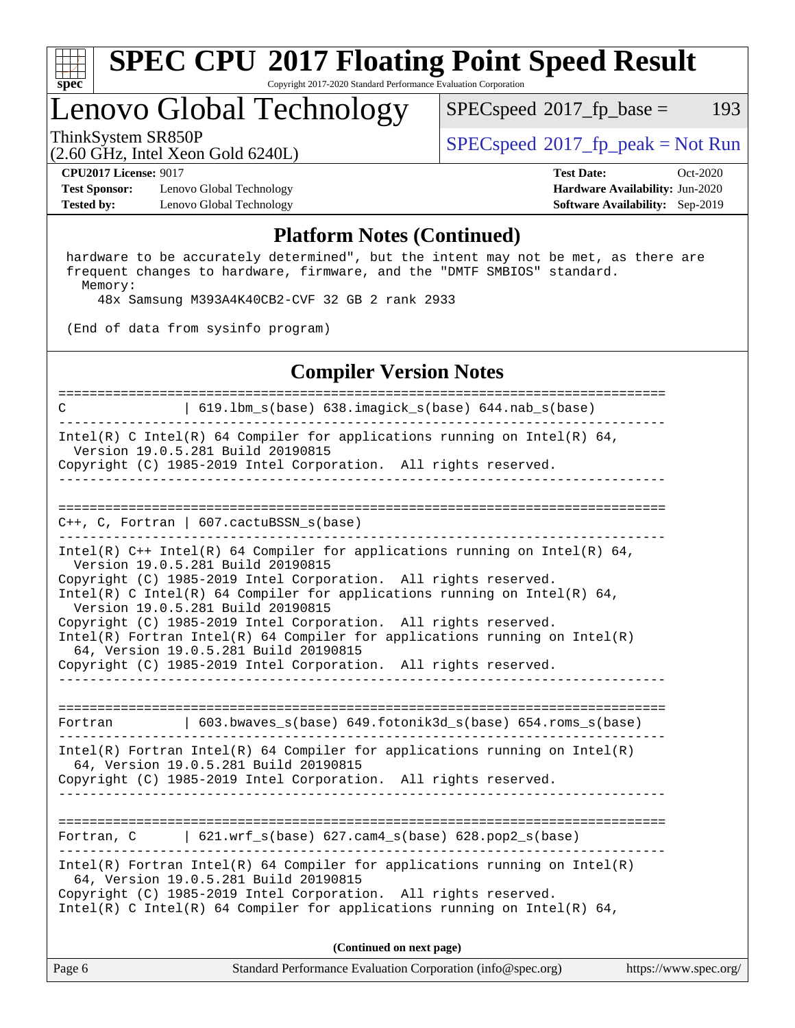

#### **[SPEC CPU](http://www.spec.org/auto/cpu2017/Docs/result-fields.html#SPECCPU2017FloatingPointSpeedResult)[2017 Floating Point Speed Result](http://www.spec.org/auto/cpu2017/Docs/result-fields.html#SPECCPU2017FloatingPointSpeedResult)** Copyright 2017-2020 Standard Performance Evaluation Corporation

### Lenovo Global Technology

 $SPECspeed^{\circledcirc}2017_fp\_base = 193$  $SPECspeed^{\circledcirc}2017_fp\_base = 193$ 

(2.60 GHz, Intel Xeon Gold 6240L)

ThinkSystem SR850P<br>  $\begin{array}{c}\n\text{SPEC speed} \text{?}2017 \text{ fp\_peak} = \text{Not Run} \\
\text{SPEC speed} \text{?}2017 \text{ fp\_peak} = \text{Not Run} \\
\end{array}$ 

**[Test Sponsor:](http://www.spec.org/auto/cpu2017/Docs/result-fields.html#TestSponsor)** Lenovo Global Technology **[Hardware Availability:](http://www.spec.org/auto/cpu2017/Docs/result-fields.html#HardwareAvailability)** Jun-2020 **[Tested by:](http://www.spec.org/auto/cpu2017/Docs/result-fields.html#Testedby)** Lenovo Global Technology **[Software Availability:](http://www.spec.org/auto/cpu2017/Docs/result-fields.html#SoftwareAvailability)** Sep-2019

**[CPU2017 License:](http://www.spec.org/auto/cpu2017/Docs/result-fields.html#CPU2017License)** 9017 **[Test Date:](http://www.spec.org/auto/cpu2017/Docs/result-fields.html#TestDate)** Oct-2020

#### **[Platform Notes \(Continued\)](http://www.spec.org/auto/cpu2017/Docs/result-fields.html#PlatformNotes)**

 hardware to be accurately determined", but the intent may not be met, as there are frequent changes to hardware, firmware, and the "DMTF SMBIOS" standard. Memory:

48x Samsung M393A4K40CB2-CVF 32 GB 2 rank 2933

(End of data from sysinfo program)

#### **[Compiler Version Notes](http://www.spec.org/auto/cpu2017/Docs/result-fields.html#CompilerVersionNotes)**

Page 6 Standard Performance Evaluation Corporation [\(info@spec.org\)](mailto:info@spec.org) <https://www.spec.org/> ============================================================================== C | 619.lbm\_s(base) 638.imagick\_s(base) 644.nab\_s(base) ------------------------------------------------------------------------------ Intel(R) C Intel(R) 64 Compiler for applications running on Intel(R)  $64$ , Version 19.0.5.281 Build 20190815 Copyright (C) 1985-2019 Intel Corporation. All rights reserved. ------------------------------------------------------------------------------ ============================================================================== C++, C, Fortran | 607.cactuBSSN\_s(base) ------------------------------------------------------------------------------ Intel(R) C++ Intel(R) 64 Compiler for applications running on Intel(R) 64, Version 19.0.5.281 Build 20190815 Copyright (C) 1985-2019 Intel Corporation. All rights reserved. Intel(R) C Intel(R) 64 Compiler for applications running on Intel(R)  $64$ , Version 19.0.5.281 Build 20190815 Copyright (C) 1985-2019 Intel Corporation. All rights reserved. Intel(R) Fortran Intel(R) 64 Compiler for applications running on Intel(R) 64, Version 19.0.5.281 Build 20190815 Copyright (C) 1985-2019 Intel Corporation. All rights reserved. ------------------------------------------------------------------------------ ============================================================================== Fortran | 603.bwaves\_s(base) 649.fotonik3d\_s(base) 654.roms\_s(base) ------------------------------------------------------------------------------ Intel(R) Fortran Intel(R) 64 Compiler for applications running on Intel(R) 64, Version 19.0.5.281 Build 20190815 Copyright (C) 1985-2019 Intel Corporation. All rights reserved. ------------------------------------------------------------------------------ ============================================================================== Fortran, C | 621.wrf\_s(base) 627.cam4\_s(base) 628.pop2\_s(base) ------------------------------------------------------------------------------ Intel(R) Fortran Intel(R) 64 Compiler for applications running on Intel(R) 64, Version 19.0.5.281 Build 20190815 Copyright (C) 1985-2019 Intel Corporation. All rights reserved. Intel(R) C Intel(R) 64 Compiler for applications running on Intel(R)  $64$ , **(Continued on next page)**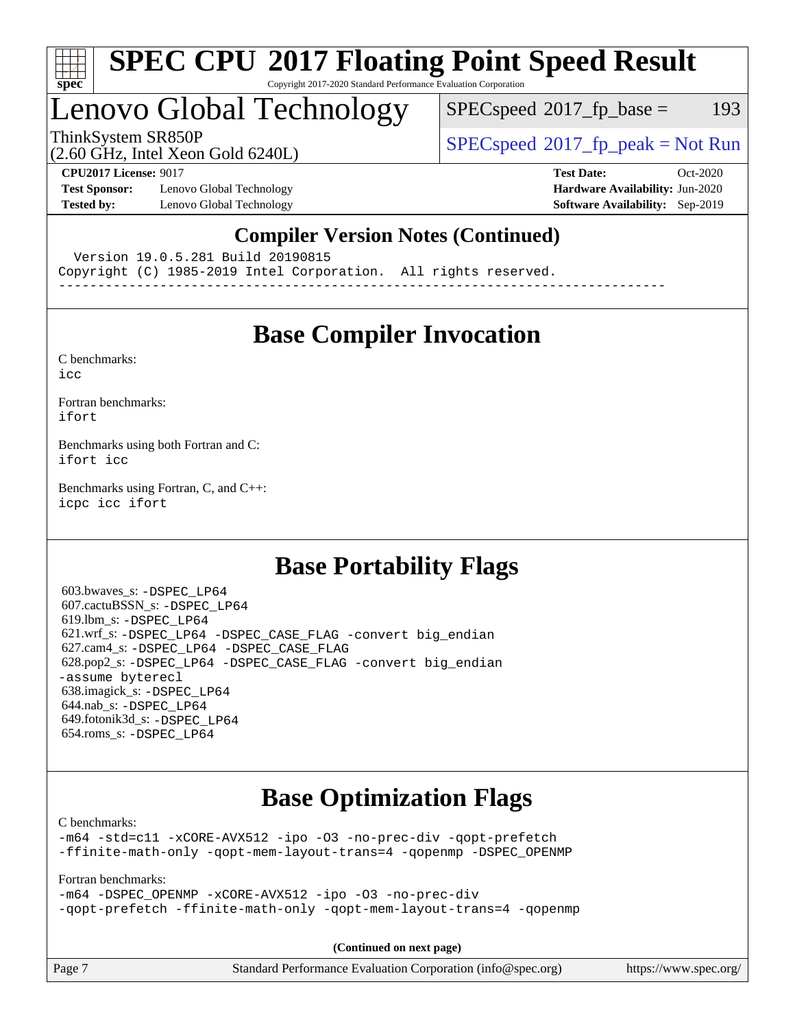

#### **[SPEC CPU](http://www.spec.org/auto/cpu2017/Docs/result-fields.html#SPECCPU2017FloatingPointSpeedResult)[2017 Floating Point Speed Result](http://www.spec.org/auto/cpu2017/Docs/result-fields.html#SPECCPU2017FloatingPointSpeedResult)** Copyright 2017-2020 Standard Performance Evaluation Corporation

### Lenovo Global Technology

 $SPECspeed^{\circledcirc}2017_fp\_base = 193$  $SPECspeed^{\circledcirc}2017_fp\_base = 193$ 

ThinkSystem SR850P<br>  $SPECspeed*2017_fp\_peak = Not Run$  $SPECspeed*2017_fp\_peak = Not Run$ 

(2.60 GHz, Intel Xeon Gold 6240L)

**[Test Sponsor:](http://www.spec.org/auto/cpu2017/Docs/result-fields.html#TestSponsor)** Lenovo Global Technology **[Hardware Availability:](http://www.spec.org/auto/cpu2017/Docs/result-fields.html#HardwareAvailability)** Jun-2020 **[Tested by:](http://www.spec.org/auto/cpu2017/Docs/result-fields.html#Testedby)** Lenovo Global Technology **[Software Availability:](http://www.spec.org/auto/cpu2017/Docs/result-fields.html#SoftwareAvailability)** Sep-2019

**[CPU2017 License:](http://www.spec.org/auto/cpu2017/Docs/result-fields.html#CPU2017License)** 9017 **[Test Date:](http://www.spec.org/auto/cpu2017/Docs/result-fields.html#TestDate)** Oct-2020

### **[Compiler Version Notes \(Continued\)](http://www.spec.org/auto/cpu2017/Docs/result-fields.html#CompilerVersionNotes)**

Version 19.0.5.281 Build 20190815

Copyright (C) 1985-2019 Intel Corporation. All rights reserved.

------------------------------------------------------------------------------

### **[Base Compiler Invocation](http://www.spec.org/auto/cpu2017/Docs/result-fields.html#BaseCompilerInvocation)**

[C benchmarks](http://www.spec.org/auto/cpu2017/Docs/result-fields.html#Cbenchmarks): [icc](http://www.spec.org/cpu2017/results/res2020q4/cpu2017-20201109-24366.flags.html#user_CCbase_intel_icc_66fc1ee009f7361af1fbd72ca7dcefbb700085f36577c54f309893dd4ec40d12360134090235512931783d35fd58c0460139e722d5067c5574d8eaf2b3e37e92)

[Fortran benchmarks](http://www.spec.org/auto/cpu2017/Docs/result-fields.html#Fortranbenchmarks): [ifort](http://www.spec.org/cpu2017/results/res2020q4/cpu2017-20201109-24366.flags.html#user_FCbase_intel_ifort_8111460550e3ca792625aed983ce982f94888b8b503583aa7ba2b8303487b4d8a21a13e7191a45c5fd58ff318f48f9492884d4413fa793fd88dd292cad7027ca)

[Benchmarks using both Fortran and C](http://www.spec.org/auto/cpu2017/Docs/result-fields.html#BenchmarksusingbothFortranandC): [ifort](http://www.spec.org/cpu2017/results/res2020q4/cpu2017-20201109-24366.flags.html#user_CC_FCbase_intel_ifort_8111460550e3ca792625aed983ce982f94888b8b503583aa7ba2b8303487b4d8a21a13e7191a45c5fd58ff318f48f9492884d4413fa793fd88dd292cad7027ca) [icc](http://www.spec.org/cpu2017/results/res2020q4/cpu2017-20201109-24366.flags.html#user_CC_FCbase_intel_icc_66fc1ee009f7361af1fbd72ca7dcefbb700085f36577c54f309893dd4ec40d12360134090235512931783d35fd58c0460139e722d5067c5574d8eaf2b3e37e92)

[Benchmarks using Fortran, C, and C++:](http://www.spec.org/auto/cpu2017/Docs/result-fields.html#BenchmarksusingFortranCandCXX) [icpc](http://www.spec.org/cpu2017/results/res2020q4/cpu2017-20201109-24366.flags.html#user_CC_CXX_FCbase_intel_icpc_c510b6838c7f56d33e37e94d029a35b4a7bccf4766a728ee175e80a419847e808290a9b78be685c44ab727ea267ec2f070ec5dc83b407c0218cded6866a35d07) [icc](http://www.spec.org/cpu2017/results/res2020q4/cpu2017-20201109-24366.flags.html#user_CC_CXX_FCbase_intel_icc_66fc1ee009f7361af1fbd72ca7dcefbb700085f36577c54f309893dd4ec40d12360134090235512931783d35fd58c0460139e722d5067c5574d8eaf2b3e37e92) [ifort](http://www.spec.org/cpu2017/results/res2020q4/cpu2017-20201109-24366.flags.html#user_CC_CXX_FCbase_intel_ifort_8111460550e3ca792625aed983ce982f94888b8b503583aa7ba2b8303487b4d8a21a13e7191a45c5fd58ff318f48f9492884d4413fa793fd88dd292cad7027ca)

### **[Base Portability Flags](http://www.spec.org/auto/cpu2017/Docs/result-fields.html#BasePortabilityFlags)**

 603.bwaves\_s: [-DSPEC\\_LP64](http://www.spec.org/cpu2017/results/res2020q4/cpu2017-20201109-24366.flags.html#suite_basePORTABILITY603_bwaves_s_DSPEC_LP64) 607.cactuBSSN\_s: [-DSPEC\\_LP64](http://www.spec.org/cpu2017/results/res2020q4/cpu2017-20201109-24366.flags.html#suite_basePORTABILITY607_cactuBSSN_s_DSPEC_LP64) 619.lbm\_s: [-DSPEC\\_LP64](http://www.spec.org/cpu2017/results/res2020q4/cpu2017-20201109-24366.flags.html#suite_basePORTABILITY619_lbm_s_DSPEC_LP64) 621.wrf\_s: [-DSPEC\\_LP64](http://www.spec.org/cpu2017/results/res2020q4/cpu2017-20201109-24366.flags.html#suite_basePORTABILITY621_wrf_s_DSPEC_LP64) [-DSPEC\\_CASE\\_FLAG](http://www.spec.org/cpu2017/results/res2020q4/cpu2017-20201109-24366.flags.html#b621.wrf_s_baseCPORTABILITY_DSPEC_CASE_FLAG) [-convert big\\_endian](http://www.spec.org/cpu2017/results/res2020q4/cpu2017-20201109-24366.flags.html#user_baseFPORTABILITY621_wrf_s_convert_big_endian_c3194028bc08c63ac5d04de18c48ce6d347e4e562e8892b8bdbdc0214820426deb8554edfa529a3fb25a586e65a3d812c835984020483e7e73212c4d31a38223) 627.cam4\_s: [-DSPEC\\_LP64](http://www.spec.org/cpu2017/results/res2020q4/cpu2017-20201109-24366.flags.html#suite_basePORTABILITY627_cam4_s_DSPEC_LP64) [-DSPEC\\_CASE\\_FLAG](http://www.spec.org/cpu2017/results/res2020q4/cpu2017-20201109-24366.flags.html#b627.cam4_s_baseCPORTABILITY_DSPEC_CASE_FLAG) 628.pop2\_s: [-DSPEC\\_LP64](http://www.spec.org/cpu2017/results/res2020q4/cpu2017-20201109-24366.flags.html#suite_basePORTABILITY628_pop2_s_DSPEC_LP64) [-DSPEC\\_CASE\\_FLAG](http://www.spec.org/cpu2017/results/res2020q4/cpu2017-20201109-24366.flags.html#b628.pop2_s_baseCPORTABILITY_DSPEC_CASE_FLAG) [-convert big\\_endian](http://www.spec.org/cpu2017/results/res2020q4/cpu2017-20201109-24366.flags.html#user_baseFPORTABILITY628_pop2_s_convert_big_endian_c3194028bc08c63ac5d04de18c48ce6d347e4e562e8892b8bdbdc0214820426deb8554edfa529a3fb25a586e65a3d812c835984020483e7e73212c4d31a38223) [-assume byterecl](http://www.spec.org/cpu2017/results/res2020q4/cpu2017-20201109-24366.flags.html#user_baseFPORTABILITY628_pop2_s_assume_byterecl_7e47d18b9513cf18525430bbf0f2177aa9bf368bc7a059c09b2c06a34b53bd3447c950d3f8d6c70e3faf3a05c8557d66a5798b567902e8849adc142926523472) 638.imagick\_s: [-DSPEC\\_LP64](http://www.spec.org/cpu2017/results/res2020q4/cpu2017-20201109-24366.flags.html#suite_basePORTABILITY638_imagick_s_DSPEC_LP64) 644.nab\_s: [-DSPEC\\_LP64](http://www.spec.org/cpu2017/results/res2020q4/cpu2017-20201109-24366.flags.html#suite_basePORTABILITY644_nab_s_DSPEC_LP64) 649.fotonik3d\_s: [-DSPEC\\_LP64](http://www.spec.org/cpu2017/results/res2020q4/cpu2017-20201109-24366.flags.html#suite_basePORTABILITY649_fotonik3d_s_DSPEC_LP64) 654.roms\_s: [-DSPEC\\_LP64](http://www.spec.org/cpu2017/results/res2020q4/cpu2017-20201109-24366.flags.html#suite_basePORTABILITY654_roms_s_DSPEC_LP64)

### **[Base Optimization Flags](http://www.spec.org/auto/cpu2017/Docs/result-fields.html#BaseOptimizationFlags)**

[C benchmarks](http://www.spec.org/auto/cpu2017/Docs/result-fields.html#Cbenchmarks):

[-m64](http://www.spec.org/cpu2017/results/res2020q4/cpu2017-20201109-24366.flags.html#user_CCbase_m64-icc) [-std=c11](http://www.spec.org/cpu2017/results/res2020q4/cpu2017-20201109-24366.flags.html#user_CCbase_std-icc-std_0e1c27790398a4642dfca32ffe6c27b5796f9c2d2676156f2e42c9c44eaad0c049b1cdb667a270c34d979996257aeb8fc440bfb01818dbc9357bd9d174cb8524) [-xCORE-AVX512](http://www.spec.org/cpu2017/results/res2020q4/cpu2017-20201109-24366.flags.html#user_CCbase_f-xCORE-AVX512) [-ipo](http://www.spec.org/cpu2017/results/res2020q4/cpu2017-20201109-24366.flags.html#user_CCbase_f-ipo) [-O3](http://www.spec.org/cpu2017/results/res2020q4/cpu2017-20201109-24366.flags.html#user_CCbase_f-O3) [-no-prec-div](http://www.spec.org/cpu2017/results/res2020q4/cpu2017-20201109-24366.flags.html#user_CCbase_f-no-prec-div) [-qopt-prefetch](http://www.spec.org/cpu2017/results/res2020q4/cpu2017-20201109-24366.flags.html#user_CCbase_f-qopt-prefetch) [-ffinite-math-only](http://www.spec.org/cpu2017/results/res2020q4/cpu2017-20201109-24366.flags.html#user_CCbase_f_finite_math_only_cb91587bd2077682c4b38af759c288ed7c732db004271a9512da14a4f8007909a5f1427ecbf1a0fb78ff2a814402c6114ac565ca162485bbcae155b5e4258871) [-qopt-mem-layout-trans=4](http://www.spec.org/cpu2017/results/res2020q4/cpu2017-20201109-24366.flags.html#user_CCbase_f-qopt-mem-layout-trans_fa39e755916c150a61361b7846f310bcdf6f04e385ef281cadf3647acec3f0ae266d1a1d22d972a7087a248fd4e6ca390a3634700869573d231a252c784941a8) [-qopenmp](http://www.spec.org/cpu2017/results/res2020q4/cpu2017-20201109-24366.flags.html#user_CCbase_qopenmp_16be0c44f24f464004c6784a7acb94aca937f053568ce72f94b139a11c7c168634a55f6653758ddd83bcf7b8463e8028bb0b48b77bcddc6b78d5d95bb1df2967) [-DSPEC\\_OPENMP](http://www.spec.org/cpu2017/results/res2020q4/cpu2017-20201109-24366.flags.html#suite_CCbase_DSPEC_OPENMP)

[Fortran benchmarks](http://www.spec.org/auto/cpu2017/Docs/result-fields.html#Fortranbenchmarks):

[-m64](http://www.spec.org/cpu2017/results/res2020q4/cpu2017-20201109-24366.flags.html#user_FCbase_m64-icc) [-DSPEC\\_OPENMP](http://www.spec.org/cpu2017/results/res2020q4/cpu2017-20201109-24366.flags.html#suite_FCbase_DSPEC_OPENMP) [-xCORE-AVX512](http://www.spec.org/cpu2017/results/res2020q4/cpu2017-20201109-24366.flags.html#user_FCbase_f-xCORE-AVX512) [-ipo](http://www.spec.org/cpu2017/results/res2020q4/cpu2017-20201109-24366.flags.html#user_FCbase_f-ipo) [-O3](http://www.spec.org/cpu2017/results/res2020q4/cpu2017-20201109-24366.flags.html#user_FCbase_f-O3) [-no-prec-div](http://www.spec.org/cpu2017/results/res2020q4/cpu2017-20201109-24366.flags.html#user_FCbase_f-no-prec-div) [-qopt-prefetch](http://www.spec.org/cpu2017/results/res2020q4/cpu2017-20201109-24366.flags.html#user_FCbase_f-qopt-prefetch) [-ffinite-math-only](http://www.spec.org/cpu2017/results/res2020q4/cpu2017-20201109-24366.flags.html#user_FCbase_f_finite_math_only_cb91587bd2077682c4b38af759c288ed7c732db004271a9512da14a4f8007909a5f1427ecbf1a0fb78ff2a814402c6114ac565ca162485bbcae155b5e4258871) [-qopt-mem-layout-trans=4](http://www.spec.org/cpu2017/results/res2020q4/cpu2017-20201109-24366.flags.html#user_FCbase_f-qopt-mem-layout-trans_fa39e755916c150a61361b7846f310bcdf6f04e385ef281cadf3647acec3f0ae266d1a1d22d972a7087a248fd4e6ca390a3634700869573d231a252c784941a8) [-qopenmp](http://www.spec.org/cpu2017/results/res2020q4/cpu2017-20201109-24366.flags.html#user_FCbase_qopenmp_16be0c44f24f464004c6784a7acb94aca937f053568ce72f94b139a11c7c168634a55f6653758ddd83bcf7b8463e8028bb0b48b77bcddc6b78d5d95bb1df2967)

**(Continued on next page)**

| Page 7 | Standard Performance Evaluation Corporation (info@spec.org) | https://www.spec.org/ |
|--------|-------------------------------------------------------------|-----------------------|
|--------|-------------------------------------------------------------|-----------------------|